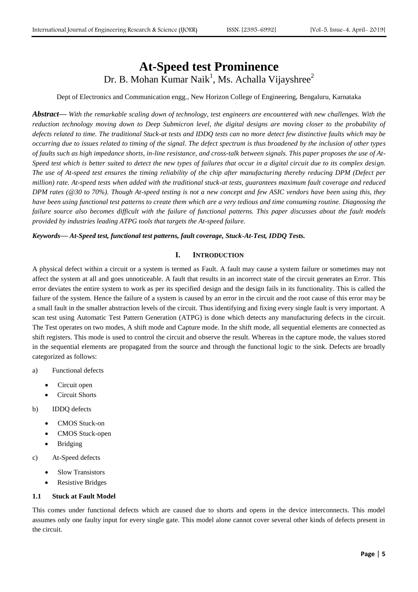# **At-Speed test Prominence** Dr. B. Mohan Kumar Naik<sup>1</sup>, Ms. Achalla Vijayshree<sup>2</sup>

Dept of Electronics and Communication engg., New Horizon College of Engineering, Bengaluru, Karnataka

*Abstract***—** *With the remarkable scaling down of technology, test engineers are encountered with new challenges. With the reduction technology moving down to Deep Submicron level, the digital designs are moving closer to the probability of defects related to time. The traditional Stuck-at tests and IDDQ tests can no more detect few distinctive faults which may be occurring due to issues related to timing of the signal. The defect spectrum is thus broadened by the inclusion of other types of faults such as high impedance shorts, in-line resistance, and cross-talk between signals. This paper proposes the use of At-Speed test which is better suited to detect the new types of failures that occur in a digital circuit due to its complex design. The use of At-speed test ensures the timing reliability of the chip after manufacturing thereby reducing DPM (Defect per million) rate. At-speed tests when added with the traditional stuck-at tests, guarantees maximum fault coverage and reduced DPM rates (@30 to 70%). Though At-speed testing is not a new concept and few ASIC vendors have been using this, they have been using functional test patterns to create them which are a very tedious and time consuming routine. Diagnosing the failure source also becomes difficult with the failure of functional patterns. This paper discusses about the fault models provided by industries leading ATPG tools that targets the At-speed failure.* 

*Keywords***—** *At-Speed test, functional test patterns, fault coverage, Stuck-At-Test, IDDQ Tests.*

## **I. INTRODUCTION**

A physical defect within a circuit or a system is termed as Fault. A fault may cause a system failure or sometimes may not affect the system at all and goes unnoticeable. A fault that results in an incorrect state of the circuit generates an Error. This error deviates the entire system to work as per its specified design and the design fails in its functionality. This is called the failure of the system. Hence the failure of a system is caused by an error in the circuit and the root cause of this error may be a small fault in the smaller abstraction levels of the circuit. Thus identifying and fixing every single fault is very important. A scan test using Automatic Test Pattern Generation (ATPG) is done which detects any manufacturing defects in the circuit. The Test operates on two modes, A shift mode and Capture mode. In the shift mode, all sequential elements are connected as shift registers. This mode is used to control the circuit and observe the result. Whereas in the capture mode, the values stored in the sequential elements are propagated from the source and through the functional logic to the sink. Defects are broadly categorized as follows:

- a) Functional defects
	- Circuit open
	- Circuit Shorts
- b) IDDQ defects
	- CMOS Stuck-on
	- CMOS Stuck-open
	- Bridging
- c) At-Speed defects
	- Slow Transistors
	- Resistive Bridges

## **1.1 Stuck at Fault Model**

This comes under functional defects which are caused due to shorts and opens in the device interconnects. This model assumes only one faulty input for every single gate. This model alone cannot cover several other kinds of defects present in the circuit.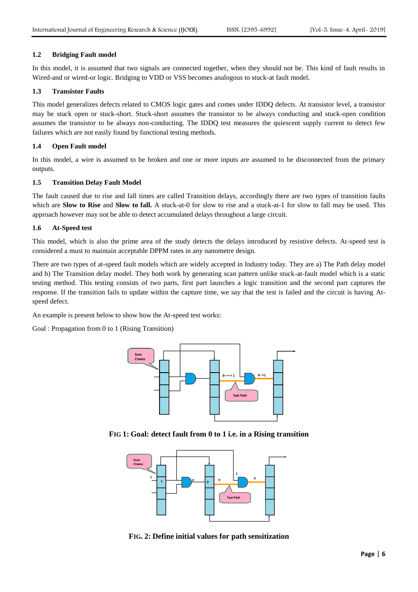# **1.2 Bridging Fault model**

In this model, it is assumed that two signals are connected together, when they should not be. This kind of fault results in Wired-and or wired-or logic. Bridging to VDD or VSS becomes analogous to stuck-at fault model.

# **1.3 Transistor Faults**

This model generalizes defects related to CMOS logic gates and comes under IDDQ defects. At transistor level, a transistor may be stuck open or stuck-short. Stuck-short assumes the transistor to be always conducting and stuck-open condition assumes the transistor to be always non-conducting. The IDDQ test measures the quiescent supply current to detect few failures which are not easily found by functional testing methods.

## **1.4 Open Fault model**

In this model, a wire is assumed to be broken and one or more inputs are assumed to be disconnected from the primary outputs.

# **1.5 Transition Delay Fault Model**

The fault caused due to rise and fall times are called Transition delays, accordingly there are two types of transition faults which are **Slow to Rise** and **Slow to fall.** A stuck-at-0 for slow to rise and a stuck-at-1 for slow to fall may be used. This approach however may not be able to detect accumulated delays throughout a large circuit.

# **1.6 At-Speed test**

This model, which is also the prime area of the study detects the delays introduced by resistive defects. At-speed test is considered a must to maintain acceptable DPPM rates in any nanometre design.

There are two types of at-speed fault models which are widely accepted in Industry today. They are a) The Path delay model and b) The Transition delay model. They both work by generating scan pattern unlike stuck-at-fault model which is a static testing method. This testing consists of two parts, first part launches a logic transition and the second part captures the response. If the transition fails to update within the capture time, we say that the test is failed and the circuit is having Atspeed defect.

An example is present below to show how the At-speed test works:

Goal : Propagation from 0 to 1 (Rising Transition)



**FIG 1: Goal: detect fault from 0 to 1 i.e. in a Rising transition**



**FIG. 2: Define initial values for path sensitization**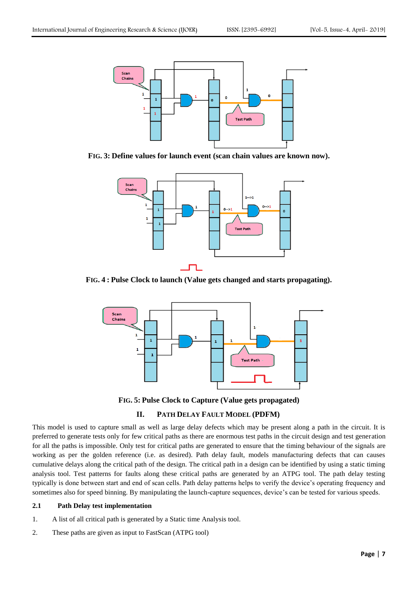

**FIG. 3: Define values for launch event (scan chain values are known now).**



**FIG. 4 : Pulse Clock to launch (Value gets changed and starts propagating).**



**FIG. 5: Pulse Clock to Capture (Value gets propagated)**

# **II. PATH DELAY FAULT MODEL (PDFM)**

This model is used to capture small as well as large delay defects which may be present along a path in the circuit. It is preferred to generate tests only for few critical paths as there are enormous test paths in the circuit design and test generation for all the paths is impossible. Only test for critical paths are generated to ensure that the timing behaviour of the signals are working as per the golden reference (i.e. as desired). Path delay fault, models manufacturing defects that can causes cumulative delays along the critical path of the design. The critical path in a design can be identified by using a static timing analysis tool. Test patterns for faults along these critical paths are generated by an ATPG tool. The path delay testing typically is done between start and end of scan cells. Path delay patterns helps to verify the device's operating frequency and sometimes also for speed binning. By manipulating the launch-capture sequences, device's can be tested for various speeds.

#### **2.1 Path Delay test implementation**

- 1. A list of all critical path is generated by a Static time Analysis tool.
- 2. These paths are given as input to FastScan (ATPG tool)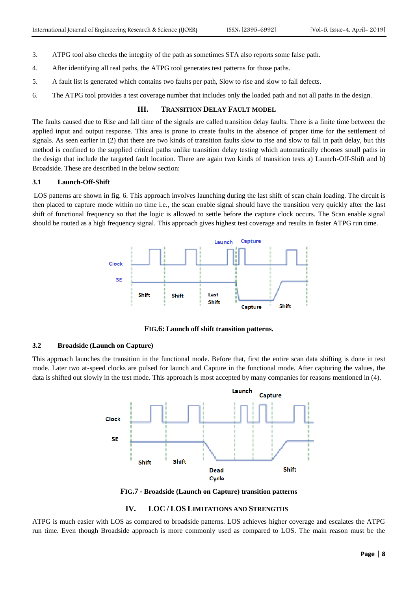- 3. ATPG tool also checks the integrity of the path as sometimes STA also reports some false path.
- 4. After identifying all real paths, the ATPG tool generates test patterns for those paths.
- 5. A fault list is generated which contains two faults per path, Slow to rise and slow to fall defects.
- 6. The ATPG tool provides a test coverage number that includes only the loaded path and not all paths in the design.

## **III. TRANSITION DELAY FAULT MODEL**

The faults caused due to Rise and fall time of the signals are called transition delay faults. There is a finite time between the applied input and output response. This area is prone to create faults in the absence of proper time for the settlement of signals. As seen earlier in (2) that there are two kinds of transition faults slow to rise and slow to fall in path delay, but this method is confined to the supplied critical paths unlike transition delay testing which automatically chooses small paths in the design that include the targeted fault location. There are again two kinds of transition tests a) Launch-Off-Shift and b) Broadside. These are described in the below section:

#### **3.1 Launch-Off-Shift**

LOS patterns are shown in fig. 6. This approach involves launching during the last shift of scan chain loading. The circuit is then placed to capture mode within no time i.e., the scan enable signal should have the transition very quickly after the last shift of functional frequency so that the logic is allowed to settle before the capture clock occurs. The Scan enable signal should be routed as a high frequency signal. This approach gives highest test coverage and results in faster ATPG run time.



**FIG.6: Launch off shift transition patterns.**

# **3.2 Broadside (Launch on Capture)**

This approach launches the transition in the functional mode. Before that, first the entire scan data shifting is done in test mode. Later two at-speed clocks are pulsed for launch and Capture in the functional mode. After capturing the values, the data is shifted out slowly in the test mode. This approach is most accepted by many companies for reasons mentioned in (4).



**FIG.7 - Broadside (Launch on Capture) transition patterns**

## **IV. LOC / LOS LIMITATIONS AND STRENGTHS**

ATPG is much easier with LOS as compared to broadside patterns. LOS achieves higher coverage and escalates the ATPG run time. Even though Broadside approach is more commonly used as compared to LOS. The main reason must be the